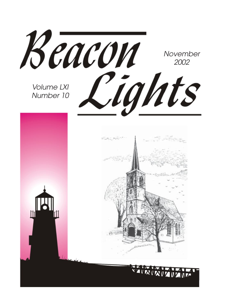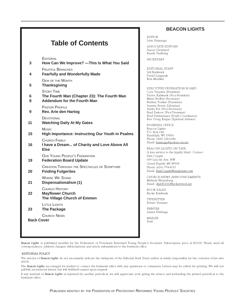#### **BEACON LIGHTS**

#### **Table of Contents**

| 3                                       | <b>EDITORIAL</b><br>How Can We Improve? - This Is What You Said                                        |
|-----------------------------------------|--------------------------------------------------------------------------------------------------------|
| 4                                       | <b>FRUITFUL BRANCHES</b><br><b>Fearfully and Wonderfully Made</b>                                      |
| 5                                       | <b>GEM OF THE MONTH</b><br><b>Thanksgiving</b>                                                         |
| 6<br>8                                  | <b>STORY TIME</b><br>The Fourth Man (Chapter 23): The Fourth Man<br><b>Addendum for the Fourth Man</b> |
| 9                                       | <b>PASTOR PROFILE</b><br><b>Rev. Arie den Hartog</b>                                                   |
| 11                                      | DEVOTIONAL<br><b>Watching Daily At My Gates</b>                                                        |
| 15                                      | Music<br>High Importance: Instructing Our Youth in Psalms                                              |
| 16                                      | CHURCH FAMILY<br>I have a Dream of Charity and Love Above All<br><b>Else</b>                           |
| 19                                      | <b>OUR YOUNG PEOPLE'S FEDERATION</b><br><b>Federation Board Update</b>                                 |
| 20                                      | <b>CREATION THROUGH THE SPECTACLES OF SCRIPTURE</b><br><b>Finding Fulgerites</b>                       |
| 21                                      | <b>WHERE WE STAND</b><br>Dispensationalism (1)                                                         |
| 22                                      | <b>CHURCH HISTORY</b><br><b>Mayflower Church</b><br>The Village Church of Emmen                        |
| 23                                      | <b>LITTLE LIGHTS</b><br><b>The Package</b>                                                             |
| <b>CHURCH NEWS</b><br><b>Back Cover</b> |                                                                                                        |

EDITOR John Huizenga

ASSOCIATE EDITORS Aaron Cleveland Randy Vaalburg

SECRETARY

EDITORIAL STAFF Jeff Kalsbeek David Langerak Kris Moelker

EXECUTIVE FEDERATION BOARD Cory Terpstra (President) Trevor Kalsbeek (Vice-President) Maria Bodbyl (Secretary) Nathan Yonker (Treasurer) Jeanine Boeve (Librarian) Audra Bol (Vice-Secretary) Brad Pastoor (Vice-Treasurer) Brad Duistermars (Youth Coordinator) Rev. Doug Kuiper (Spiritual Advisor)

BUSINESS OFFICE Beacon Lights P.O. Box 144 Randolph, WI 53956 Phone: (920) 326-6186 Email: huizenga@powercom.net

BEACON LIGHTS ON TAPE A free service to the legally blind. Contact Sam Copple 659 Lincoln Ave. NW Grand Rapids, MI 49504 Phone: (616) 774-4132 Email: SamCopple@email.msn.com

CHURCH NEWS ANNOUNCEMENTS Melinda Bleyenberg Email: dmb41101@hickorytech.net

BOOK SALES Becky Kalsbeek

TYPESETTER Robert Vermeer

PRINTER James Huizinga

MAILER Staff

Beacon Lights is published monthly by the Federation of Protestant Reformed Young People's Societies. Subscription price is \$10.00. Please send all correspondence, address changes, subscriptions, and article submissions to the business office.

#### EDITORIAL POLICY

The articles of Beacon Lights do not necessarily indicate the viewpoint of the Editorial Staff. Every author is solely responsible for the contents of his own article.

The Beacon Lights encourages its readers to contact the business office with any questions or comments. Letters may be edited for printing. We will not publish anonymous letters, but will withhold names upon request.

If any material of Beacon Lights is reprinted by another periodical, we will appreciate your giving the source and forwarding the printed periodical to the business office.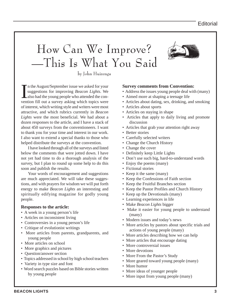### How Can We Improve? —This Is What You Said



by John Huizenga

In the August/September issue we asked for your<br>suggestions for improving *Beacon Lights*. We<br>also had the young people who attended the con-<br>vention fill out a survey asking which topics were n the August/September issue we asked for your suggestions for improving *Beacon Lights*. We also had the young people who attended the conof interest, which writing style and writers were most attractive, and which rubrics currently in *Beacon Lights* were the most beneficial. We had about a dozen responses to the article, and I have a stack of about 450 surveys from the conventioneers. I want to thank you for your time and interest in our work. I also want to extend a special thanks to those who helped distribute the surveys at the convention.

I have looked through all of the surveys and listed below the comments that were jotted down. I have not yet had time to do a thorough analysis of the survey, but I plan to round up some help to do this soon and publish the results.

Your words of encouragement and suggestions are much appreciated. We will take these suggestions, and with prayers for wisdom we will put forth energy to make *Beacon Lights* an interesting and spiritually edifying magazine for godly young people.

#### **Responses to the article:**

- A week in a young person's life
- Articles on inconsistent living
- Controversies in a young person's life
- Critique of evolutionist writings
- More articles from parents, grandparents, and young people
- More articles on school
- More graphics and pictures
- Question/answer section
- Topics addressed in school by high school teachers
- Variety in type size and font
- Word search puzzles based on Bible stories written by young people

#### **Survey comments from Convention:**

- Address the issues young people deal with (many)
- Aimed more at shaping a teenage life
- Articles about dating, sex, drinking, and smoking
- Articles about sports
- Articles on staying in shape
- Articles that apply to daily living and promote discussion
- Articles that grab your attention right away
- Better stories
- Carefully selected writers
- Change the Church History
- Change the cover
- Definitely keep Little Lights
- Don't use such big, hard-to-understand words
- Enjoy the poems (many)
- Fictional stories
- Keep it the same (many)
- Keep the Confessions of Faith section
- Keep the Fruitful Branches section
- Keep the Pastor Profiles and Church History
- Keep up the Devotionals (many)
- Learning experiences in life
- Make *Beacon Lights* bigger
- Make it easier for young people to understand (many)
- Modern issues and today's news
- More articles by pastors about specific trials and actions of young people (many)
- More articles describing how we can help
- More articles that encourage dating
- More controversial issues
- More devotions
- More From the Pastor's Study
- More geared toward young people (many)
- More humor
- More ideas of younger people
- More input from young people (many)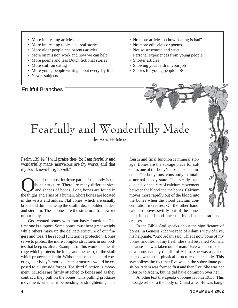- More interesting articles
- More interesting topics and real stories
- More older people and parents articles
- More on mission work and how we can help
- More poems and less Dutch fictional stories
- More stuff on dating
- More young people writing about everyday life
- Newer subjects

Fruitful Branches

- No more articles on how "dating is bad"
- No more editorials or poems
- Not so structured and strict
- Personal experiences from young people

 $\overline{\mathcal{S}}$ 

- Shorter articles
- Showing your faith in your job
- Stories for young people

# Fearfully and Wonderfully Made

by Sara Huizinga

*Psalm 139:14 "I will praise thee; for I am fearfully and wonderfully made; marvelous are thy works; and that my soul knoweth right well."*

One of the most intricate parts of the body is the<br>bone structure. There are many different sizes<br>and shapes of bones. Long bones are found in<br>the thighs and arms of a human. Short bones are located bone structure. There are many different sizes and shapes of bones. Long bones are found in the thighs and arms of a human. Short bones are located in the wrists and ankles. Flat bones, which are usually broad and thin, make up the skull, ribs, shoulder blades, and sternum. These bones are the structural framework of our body.

God created bones with four basic functions. The first one is support. Some bones must bear great weight while others make up the delicate structure of our fingers and toes. The second function is protection. Bones serve to protect the more complex structures in our bodies that keep us alive. Examples of this would be the rib cage which protects the lungs and the heart, or the skull which protects the brain. Without these special hard coverings our body's more delicate structures would be exposed to all outside forces. The third function is movement. Muscles are firmly attached to bones and as they contract, they pull on the bones. This pulling produces movement, whether it be bending or straightening. The

fourth and final function is mineral storage. Bones are the storage place for calcium, one of the body's most needed minerals. Our body must constantly maintain a normal steady state. This steady state depends on the rate of calcium movement between the blood and the bones. Calcium moves more rapidly out of the blood into the bones when the blood calcium concentration increases. On the other hand, calcium moves swiftly out of the bones

back into the blood once the blood concentration decreases.

In the Bible God speaks about the significance of bones. In Genesis 2:23 we read of Adam's view of Eve, his helpmate. "And Adam said, This is now bone of my bones, and flesh of my flesh: she shall be called Woman, because she was taken out of man." Eve was formed out of a bone, namely the rib, of Adam. She was a part of man down to the physical structure of her body. This symbolizes the fact that Eve was in the subordinate position. Adam was formed first and then Eve. She was not inferior to Adam, but he did have dominion over her.

Another text that speaks of bones is John 19:36. This passage refers to the body of Christ after He was hang-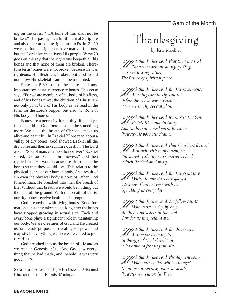Gem of the Month

ing on the cross. "…A bone of him shall not be broken." This passage is a fulfillment of Scripture and also a picture of the righteous. In Psalm 34:19 we read that the righteous have many afflictions, but the Lord always delivers His people. Verse 20 goes on the say that the righteous keepeth all his bones and that none of them are broken. Therefore Jesus' bones were not broken because He was righteous. His flesh was broken, but God would not allow His skeletal frame to be mutilated.

Ephesians 5:30 is one of the clearest and most important scriptural reference to bones. This verse says, "For we are members of his body, of his flesh, and of his bones." We, the children of Christ, are not only *partakers* of His body as we read in the form for the Lord's Supper, but also *members* of His body and bones.

Bones are a necessity for earthly life, and yet for the child of God there needs to be something more. We need the breath of Christ to make us alive and beautiful. In Ezekiel 37 we read about a valley of dry bones. God showed Ezekiel all the dry bones and then asked him a question. The Lord asked, "Son of man, can these bones live?" Ezekiel stated, "O Lord God, thou knowest." God then replied that He would cause breath to enter the bones so that they would live. This relates to the physical bones of our human body. As a result of sin even the physical body is corrupt. When God formed man, He breathed into man the breath of life. Without that breath we would be nothing but the dust of the ground. With the breath of Christ our dry bones receive health and strength.

God created us with living bones. Bone formation constantly takes place, long after the bones have stopped growing in actual size. Each and every bone plays a significant role in maintaining our body. We are creatures of God and He created us for the sole purpose of revealing His power and majesty. In everything we do we are called to glorify Him.

God breathed into us the breath of life and as we read in Genesis 1:31, "And God saw everything that he had made, and, behold, it was very good." ❖

*\_\_\_\_\_\_\_\_\_\_\_\_\_\_\_\_\_\_\_\_\_\_\_\_\_\_\_\_\_\_\_\_\_\_\_\_\_\_\_\_\_\_\_\_\_\_\_\_\_\_\_\_\_\_\_ Sara is a member of Hope Protestant Reformed Church in Grand Rapids, Michigan.*

# Thanksgiving

by Kris Moelker

*C* e thank Thee Lord, that thou art God.<br>Thou who art our almighty King,<br>Our availative Lither Our everlasting Father, The Prince of spiritual peace.

 $\mathcal{O}_{\mathcal{U}}$  e thank Thee Lord, for Thy sovereignty. All things are in Thy control. Before the world was created We were in Thy special plan.

W e thank Thee Lord, for Christ Thy Son. He left His home in Glory And to this sin cursed earth He came. Perfectly He bore our shame.

 $\mathcal{O}(\mathcal{U})$  thank Thee Lord, that thou hast formed A church with many members Purchased with Thy Son's precious blood Which He shed on Calvary.

 $\mathcal{O}_{\mathcal{U}}$  e thank Thee Lord, for Thy great love Which in our lives is displayed. We know Thou art ever with us Upholding us every day.

**Me** thank Thee Lord, for fellow saints Who assist us day by day. Brothers and sisters in the Lord Care for us in special ways.

**Me** thank Thee Lord, for this season. A time for us to rejoice In the gift of Thy beloved Son Who came to free us from sin.

 $\mathcal{O}_{\mathscr{U}}$  e thank Thee Lord, the day will come When our bodies will be changed. No more sin, sorrow, pain, or death Perfectly we will praise Thee.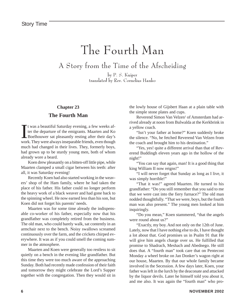### The Fourth Man

A Story from the Time of the Afscheiding

by P. S. Kuiper translated by Rev. Cornelius Hanko

#### **Chapter 23 The Fourth Man**

**I** t was a beautiful Saturday evening, a few weeks after the departure of the emigrants. Maarten and Ko Boelhouwer sat pleasantly resting after their day's work. They were always inseparable friends, even though much had changed in their lives. They, formerly boys, had grown up to be sturdy young men, both of whom already wore a beard.

Koen drew pleasantly on a bitten-off little pipe, while Maarten clamped a small cigar between his teeth: after all, it was Saturday evening!

Recently Koen had also started working in the weavers' shop of the Ham family, where he had taken the place of his father. His father could no longer perform the heavy work of a black weaver and had gone back to the spinning wheel. He now earned less than his son, but Koen did not forget his parents' needs.

Maarten was for some time already the indispensable co-worker of his father, especially now that his grandfather was completely retired from the business. The old man, who could barely walk, sat contently in an armchair next to the bench. Noisy swallows screamed continuously over the farm, and the crickets chirped everywhere. It was as if you could smell the coming summer in the atmosphere.

Maarten and Koen were generally too restless to sit quietly on a bench in the evening like grandfather. But this time they were too much aware of the approaching Sunday. Both had recently made confession of their faith and tomorrow they might celebrate the Lord's Supper together with the congregation. Then they would sit in

the lowly house of Gijsbert Haan at a plain table with the simple stone plates and cups.

Reverend Simon Van Velzen<sup>1</sup> of Amsterdam had arrived already at noon from Bulwalda at the Kerkbrink in a yellow coach.

"Isn't your father at home?" Koen suddenly broke the silence. "No, he fetched Reverend Van Velzen from the coach and brought him to his destination."

"Yes, yes! quite a different arrival than that of Reverend Buddingh eleven years ago in the hollow of the night!"

"You can say that again, man! It is a good thing that king William II now reigns!"

"I will never forget that Sunday as long as I live, it was simply horrible!"

"That it was!" agreed Maarten. He turned to his grandfather: "Do you still remember that you said to me that we were cast into the fiery furnace?" The old man nodded thoughtfully. "That we were, boys, but the fourth man was also present." The young men looked at him inquiringly.

"Do you mean," Koen stammered, "that the angels were round about us?"

"Exactly, my boy. And not only on the 12th of June. Lately, now that I have nothing else to do, I have thought a lot about that. God promises us in Psalm 91 that He will give him angels charge over us. He fulfilled that promise to Shadrach, Meshach and Abednego. He still does that. A "fourth man" took care that on Pentecost Monday a wheel broke on Jan Donker's wagon right at our house, Maarten. By that our whole family became involved in the Secession. A few days later, Koen, your father was left in the lurch by the deaconate and attacked by the liquor devils. Later he himself told you about it, and me also. It was again the "fourth man" who pro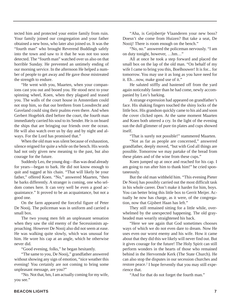tected him and protected your entire family from ruin. Your family joined our congregation and your father obtained a new boss, who later also joined us. It was the "fourth man" who brought Reverend Buddingh safely into the town and saw to it that he was not too soon detected. The "fourth man" watched over us also on that horrible Sunday. He prevented an untimely ending of our morning service. In the afternoon He helped a number of people to get away and He gave those mistreated the strength to endure.

"He went with you, Maarten, when your companions cast you out and booed you. He stood next to your spinning wheel, Koen, when they plagued and teased you. The walls of the court house in Amsterdam could not stop him, so that our brethren from Loosdrecht and Gaveland could sing their psalms even there. And when Gerbert Hogebirk died before the court, the fourth man immediately carried his soul to its Sender. He is on board the ships that are bringing our friends over the ocean. He will also watch over us by day and by night and always. For the Lord has promised that."

When the old man was silent because of exhaustion. silence reigned for quite a while on the bench. His words had not only given new meaning to the past, but also courage for the future.

Suddenly Leo, the young dog—Bas was dead already for years—began to bark. He did not know enough to quit and tugged at his chain. "That will likely be your father," offered Koen. "No," answered Maarten, "then he barks differently. A stranger is coming, one who seldom comes here. It can very well be even a good acquaintance." It proved to be an acquaintance, but not a good one.

On the farm appeared the forceful figure of Peter De Nooij. The policeman was in uniform and carried a small box.

The two young men felt an unpleasant sensation when they saw the old enemy of the Secessionists approaching. However De Nooij also did not seem at ease. He was walking quite slowly, which was unusual for him. He wore his cap at an angle, which he otherwise never did.

"Good evening, folks," he began hesitantly.

"The same to you, De Nooij," grandfather answered without showing any sign of emotion, "nice weather this evening! You certainly are not coming to bring some unpleasant message, are you?"

"No. Not that, hm, I am actually coming for my wife, you see."

"Aha, is Geijsbertje Vlaanderen your new boss? Doesn't she come from Huizen? But take a seat, De Nooij! There is room enough on the bench."

"No, no." answered the policeman nervously. "I am on duty tonight, however, …hm…"

All at once he took a step forward and placed the small box on the lap of the old man. "On behalf of my wife I came to bring you this, Boelhouwer! It is for... for tomorrow. You may use it as long as you have need for it. Eh…now, make good use of it."

He saluted stiffly and hastened off from the yard again noticeably faster than he had come, newly accompanied by Leo's barking.

A strange expression had appeared on grandfather's face. His shaking fingers touched the shiny locks of the little box. His grandson quickly came to his aid and soon the cover clicked open. At the same moment Maarten and Koen both uttered a cry. In the light of the evening sun the dull glimmer of pure tin plates and cups showed itself.

"That is surely not possible!" stammered Maarten.

"Not as far as people are concerned," answered grandfather, deeply moved, "but with God all things are possible. Tomorrow we may partake of the bread from these plates and of the wine from these cups."

Koen jumped up at once and reached for his cap. I am going to run after him to thank him!" he cried spontaneously.

But the old man withheld him. "This evening Pieter De Nooij has possibly carried out the most difficult task in his whole career. Don't make it harder for him, boys. You can better bring this little box to Gerrit Meijer. Actually he now has charge, as it were, of the congregation, now that Gijsbert Haan has left."

They still remained sitting for a little while, overwhelmed by the unexpected happening. The old grayheaded man wearily straightened his back.

"Here we see again that God sometimes chooses ways of which we do not even dare to dream. Now He uses even our worst enemy and his wife. How it came about that they did this we likely will never find out. But it gives courage for the future! The Holy Spirit can still perform wonders in the hearts of those who remained behind in the Hervormde Kerk (The State Church). He can also stop the disputes in our secession churches and restore peace.<sup>2</sup> I hope fervently that you may still experience that.

"And for that do not forget the fourth man."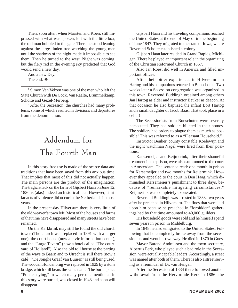Then, soon after, when Maarten and Koen, still impressed with what was spoken, left with the little box, the old man hobbled to the gate. There he stood leaning against the large linden tree watching the young men until the shadows of the night made it impossible to see them. Then he turned to the west. Night was coming, but the fiery red in the evening sky predicted that God would send a new day.

And a new Day.

The end. ❖ \_\_\_\_\_\_\_\_\_\_\_\_\_\_\_\_\_\_\_

<sup>1</sup> Simon Van Velzen was one of the men who left the State Church with De Cock, Van Raalte, Brummelkamp, Scholte and Gezel-Merberg.

2 After the Secession, the churches had many problems, some of which resulted in divisions and departures from the denomination.

### Addendum for The Fourth Man

In this story free use is made of the scarce data and traditions that have been saved from this anxious time. That implies that most of this did not actually happen. The main persons are the product of the imagination. The tragic attack on the farm of Gijsbert Haan on June 12, 1836 is (alas) indeed an historical fact. However, similar acts of violence did occur in the Netherlands in those years.

In the present-day Hilversum there is very little of the old weaver's town left. Most of the houses and farms of that time have disappeared and many streets have been renamed.

On the Kerkbrink may still be found the old church tower (The church was replaced in 1891 with a larger one), the court house (now a civic information center), and the "Large Tavern" (now a hotel called "The courtyard of Holland"). Also the old toll house at the parting of the ways to Baarn and to Utrecht is still there (now a café). "De Jonghe Graaf van Buuren" is still being used. The wooden Hondenbrug was replaced in 1929 by a stone bridge, which still bears the same name. The burial place "Ponder dying," in which many persons mentioned in this story were buried, was closed in 1943 and soon will disappear.

Gijsbert Haan and his traveling companions reached the United States at the end of May or in the beginning of June 1847. They migrated to the state of Iowa, where Reverend Scholte established a colony.

Gijsbert Haan later resided in Grand Rapids, Michigan. There he played an important role in the organizing of the Christian Reformed Church in 1857.

Also Jan Roest did well in America and filled important offices.

After their bitter experiences in Hilversum Jan Hartog and his companions returned to Bunschoten. Two weeks later a Secession congregation was organized in this town. Reverend Buddingh ordained among others Jan Hartog as elder and instructor Beuker as deacon. At that occasion he also baptized the infant Bort Hartog and a small daughter of Jacob Baas. That took place in a cellar!

The Secessionists from Bunschoten were severely persecuted. They had soldiers billeted in their homes. The soldiers had orders to plague them as much as possible! This was referred to as a "Pleasant Household."

Instructor Beuker, county constable Koelewijn and the night watchman Nagel were fired from their positions.

Karssemeijer and Reijmerink, after their shameful treatment in the prison, were also summoned to the court in Amsterdam. The sentence read: one month in prison for Karsemeijer and two months for Reijermink. However they appealed to the court in Den Haag, which diminished Karsemeijer's punishment to three days, because of "remarkable mitigating circumstances." Reijmerink was completely exonerated.

Reverend Buddingh was arrested in 1838, two years after he preached in Hilversum. The fines that were laid upon him because he preached in "forbidden" gatherings had by that time amounted to 40,000 guilders!

His household goods were sold and he himself spend seven years in prison in Middelburg.

In 1848 he also emigrated to the United States. Following that he completely broke away from the secessionists and went his own way. He died in 1870 in Goes.

Mayor Barend Andreissen and the town secretary, Albertus Perk, who played such a bad role in the Secession, were actually capable leaders. Accordingly, a street was named after both of them. There is also a street serving as a reminder of Dr. van Hengel.

After the Secession of 1834 there followed another withdrawal from the Hervormde Kerk in 1886: the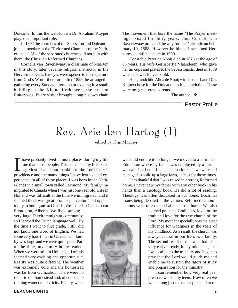Doleante. In this the well-known Dr. Abraham Kuyper played an important role.

In 1892 the churches of the Secession and Doleantie joined together as the "Reformed Churches of the Netherlands." All of the separated churches did not join with them: the Christian Reformed Churches.

Cornelis van Ravenswaay, a classmate of Maarten in this story, later became religion instructor in the Hervormde Kerk. His eyes were opened to the departure from God's Word; therefore, after 1858, he arranged a gathering every Sunday afternoon or evening in a small building at the Kleine Krakebeen, the present Ruitersweg. Every visitor brought along his own chair.

The movement that bore the name "The Prayer meeting" existed for thirty years. Thus Cornelis van Ravenswaay prepared the way for the Doleantie on February 19, 1888. However he himself remained Hervormde until his death in 1900.

Constable Peter de Nooij died in 1876 at the age of 88 years. His wife Gerijsbertje Vlaanderen, who gave her tin cups and plates to the Secessionists, died in 1889 when she was 85 years old.

Her grandchild Alida de Nooij with her husband Dirk Kuiper chose for the Doleantie in full conviction. These were my great grandparents.

The author. ❖

Pastor Profile

### Rev. Arie den Hartog (1)

#### edited by Kris Moelker

I have probably lived in more places during my life time than most people. This has made my life exciting. Most of all, I am thankful to the Lord for His providence and the many things I have learned and ex have probably lived in more places during my life time than most people. This has made my life excit- $\angle$ ing. Most of all, I am thankful to the Lord for His perienced in all of these places. I was born in the Netherlands in a small town called Lexmond. My family immigrated to Canada when I was just one year old. Life in Holland was difficult at the time we immigrated, and it seemed there was great promise, adventure and opportunity to immigrate to Canada. We settled in Canada near

Edmonton, Alberta. We lived among a very large Dutch immigrant community, so I learned the Dutch language well. By the time I went to first grade, I still did not know one word of English. We had some very hard times in Canada. Our family was large and we were quite poor. Part of the time, my family homesteaded. When we were still in Holland, all of this seemed very exciting and opportunistic. Reality was quite different. The weather was extremely cold and the homestead was far from civilization. There were no roads to our homestead and, of course, no running water or electricity. Finally, when

we could endure it no longer, we moved to a farm near Edmonton where by father was employed by a farmer who was in a better financial situation than we were and managed to build up a large farm, at least for those times.

I am thankful that I was raised in a strong Reformed home. I never saw my father with any other book in his hands than a theology book. He did a lot of reading. Theology was often discussed in our home. Doctrinal issues being debated in the various Reformed denominations were often talked about in the home. We also

> learned practical Godliness, love for the truth and love for the true church of the Lord. My mother especially was the great influence for Godliness in the years of my childhood. As a result, the church was always central in our lives as a family. The second result of this was that I felt very early already, in my mid teens, that I was called to the ministry and began to pray that the Lord would guide me and enable me to sustain the rigors of study and preparation for the ministry.

> I can remember how very real peer pressure was in my teens. How often we went along just to be accepted and to re-

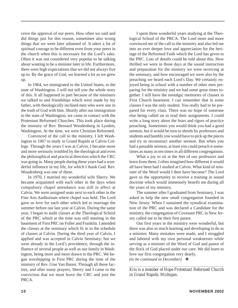ceive the approval of our peers. How often we said and did things just for this reason, sometimes also wrong things that we were later ashamed of. It takes a lot of spiritual courage to be different even from your peers in the church when this is necessary for the Lord's sake. Often it was not considered very popular to be talking about wanting to be a minister later in life. Furthermore, there were high expectations that we did not always live up to. By the grace of God, we learned a lot as we grew up.

In 1964, we immigrated to the United States, to the state of Washington. I will not tell you the whole story of this. It all happened in part because of the ministers we talked to and friendships which were made by my father, with theologically inclined men who were one in the truth of God with him. Shortly after our immigration to the state of Washington, we came in contact with the Protestant Reformed Churches. This took place during the ministry of Rev. Bernard Woudenberg in Lynden, Washington. At the time, we were Christian Reformed.

Convinced of the call to the ministry, I left Washington in 1967 to study in Grand Rapids at Calvin College. Through the years I was at Calvin, I became more and more seriously troubled by the theological and even the philosophical and practical direction which the CRC was going in. Many people during these years had a wonderful influence in my life, for which I thank God. Rev. Woudenberg was one of these.

In 1970, I married my wonderful wife Sherry. We became acquainted with each other in the days when compulsory chapel attendance was still in affect at Calvin. We were assigned seats next to each other in the Fine Arts Auditorium where chapel was held. The Lord gave us love for each other which led to marriage the summer before our last year at Calvin. During the same year, I began to audit classes at the Theological School of the PRC which at the time was still meeting in the basement of First PRC on Fuller and Franklin. I attended the classes at the seminary which fit in to the schedule of classes at Calvin. During the third year of Calvin, I applied and was accepted in Calvin Seminary; but we were already in the Lord's providence, through the influence of several people as well as our family in Washington, being more and more drawn to the PRC. We began worshipping in First PRC during the time of the ministry of Rev. Gise Van Baren. Through all these factors, and after many prayers, Sherry and I came to the conviction that we must leave the CRC and join the PRCA.

I spent three wonderful years studying at the Theological School of the PRCA. The Lord more and more convinced me of the call to the ministry and also led me into an ever deeper love and appreciation for the heritage of the Reformed Faith which the Lord has given to the PRC. Lots of details could be told about this. How thrilled we were in those days at the sound instruction and preparation for the ministry we were receiving at the seminary, and how encouraged we were also by the preaching we heard each Lord's Day. We certainly enjoyed being in school with a number of other men preparing for the ministry and we had some great times together. I still have the nostalgic memories of classes in First Church basement. I can remember that in some classes I was the only student. You really had to be prepared for every class. There was no hope of someone else being called on to read their assignments. I could write a long story about the fears and rigors of practice preaching. Sometimes you would think you had a good sermon, but it would be torn to shreds by professors and students and humbly you would have to pick up the pieces and try to reconstruct another sermon. But when you had a passable sermon, at least you could preach it sometimes as many as ten times in all different congregations.

What a joy to sit at the feet of our professors and learn from them. I often imagined how different it would all have been had I studied at Calvin. What kind of minister of the Word would I then have become? The Lord gave us the opportunity to receive a training in sound doctrine which would immensely benefit me during all the years of my ministry.

The summer after I graduated from Seminary, I was asked to help the new small congregation founded in New Jersey. When I sustained the synodical examination of the PRC and was declared a Candidate for the ministry, the congregation of Covenant PRC in New Jersey called me to be their first pastor.

Our first years in the ministry were wonderful, but there was also so much learning and developing to do as a minister. Many mistakes were made, and I struggled and labored with my own personal weaknesses while serving as a minister of the Word of God and pastor of the flock of God placed under our care. We did learn to love our first congregation very dearly. *(to be continued in December)* ❖

*\_\_\_\_\_\_\_\_\_\_\_\_\_\_\_\_\_\_\_\_\_\_\_\_\_\_\_\_\_\_\_\_\_\_\_\_\_\_\_\_\_\_\_\_\_\_\_ Kris is a member of Hope Protestant Reformed Church in Grand Rapids, Michigan.*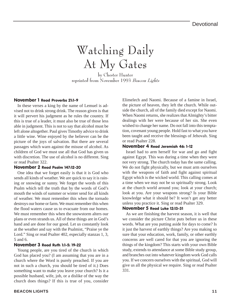### Watching Daily At My Gates

by Chester Hunter reprinted from November 1993 Beacon Lights

#### November 1 Read Proverbs 21:1-9

In these verses a king by the name of Lemuel is advised not to drink strong drink. The reason given is that it will pervert his judgment as he rules the country. If this is true of a leader, it must also be true of those less able in judgment. This is not to say that alcohol must be left alone altogether. Paul gives Timothy advice to drink a little wine. Wine enjoyed by the believer can be the picture of the joys of salvation. But there are several passages which warn against the misuse of alcohol. As children of God we must use all that God has given us with discretion. The use of alcohol is no different. Sing or read Psalter 322.

#### November 2 Read Psalm 147:12-20

One idea that we forget easily is that it is God who sends all kinds of weather. We are quick to say it is raining or snowing or sunny. We forget the words of this Psalm which tell the truth that by the words of God's mouth the winds of summer or winter send for all kinds of weather. We must remember this when the tornado destroys our home or farm. We must remember this when the flood waters cause us to evacuate from our homes. We must remember this when the snowstorm alters our plans or even strands us. All of these things are in God's hand and are done for our good. Let us constantly look at the weather and say with the Psalmist, "Praise ye the Lord." Sing or read Psalter 402, especially stanzas 1, 3, 5 and 6.

#### November 3 Read Ruth 1:1-5: 19-22

Young people, are you tired of the church in which God has placed you? (I am assuming that you are in a church where the Word is purely preached. If you are not in such a church, you should be tired of it.) Does something want to make you leave your church? Is it a possible husband, wife, job, or a dislike of the way the church does things? If this is true of you, consider

Elimelech and Naomi. Because of a famine in Israel, the picture of heaven, they left the church. While outside the church, all of the family died except for Naomi. When Naomi returns, she realizes that Almighty's bitter dealings with her were because of her sin. She even wished to change her name. Do not fall into this temptation, covenant young people. Hold fast to what you have been taught and receive the blessings of Jehovah. Sing or read Psalter 228.

#### November 4 Read Jeremiah 46: 1-12

Israel had to arm herself for war and go and fight against Egypt. This was during a time when they were not very strong. The church today has the same calling. We do not fight physically, but we must arm ourselves with the weapons of faith and fight against spiritual Egypt which is the wicked world. This calling comes at a time when we may not be so spiritually strong. Look at the church world around you; look at your church; look at you. Are your weapons strong? Is your Bible knowledge what it should be? It won't get any better unless you practice it. Sing or read Psalter 329.

#### November 5 Read Luke 12:13-31

As we are finishing the harvest season, it is well that we consider the picture Christ puts before us in these words. What are you putting aside for days to come? Is it just the harvest of earthly things? Are you making so sure that your education, work, family, or other earthly concerns are well cared for that you are ignoring the things of the kingdom? This starts with your own Bible study, extends to attendance at some Bible study group, and branches out into whatever kingdom work God calls you. If we concern ourselves with the spiritual, God will give us all the physical we require. Sing or read Psalter 331.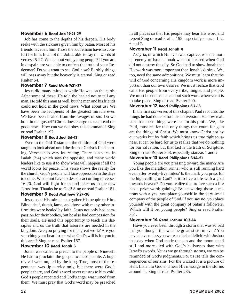#### November 6 Read Job 19:21-29

Job has come to the depths of his despair. His body reeks with the sickness given him by Satan. Most of his friends have left him. Those that do remain have no comfort for him. In all of this Job is able to say the words of verses 25-27. What about you, young people? If you are in despair, are you able to confess the truth of your Redeemer? Do you want to see God now? Earthly things will pass away but the heavenly is eternal. Sing or read Psalter 54.

#### November 7 Read Mark 7:31-37

Jesus did many miracles while He was on the earth. After some of these, He told the healed not to tell any man. He told this man as well, but the man and his friends could not hold in the good news. What about us? We have been the recipients of the greatest miracle ever. We have been healed from the ravages of sin. Do we hold in the gospel? Christ does charge us to spread the good news. How can we not obey this command? Sing or read Psalter 197.

#### November 8 Read Joel 3:1-13

Even in the Old Testament the children of God were taught to look ahead until the time of Christ's final coming. Verse ten is very interesting. There is a verse in Isaiah (2:4) which says the opposite, and many world leaders like to use it to show what will happen if all the world looks for peace. This verse shows the reality for the church. God's people will face oppression in the days to come. We do not have to despair according to verses 16-20. God will fight for us and takes us to the new Jerusalem. Thanks be to God! Sing or read Psalter 181.

#### November 9 Read Matthew 9:27-38

Jesus used His miracles to gather His people to Him. Blind, deaf, dumb, lame, and those with many other infirmities were healed by faith. Jesus not only had compassion for their bodies, but he also had compassion for their souls. He used this opportunity to teach His disciples and us the truth that laborers are needed in the kingdom. Are you praying for this great work? Are you searching your heart to see what God's will is for you in this area? Sing or read Psalter 167.

#### November 10 Read Jonah 3

Jonah was called to preach to the people of Nineveh. He had to proclaim the gospel to these people. A huge revival went on, led by the king. True, most of the repentance was lip-service only, but there were God's people there, and God's word never returns to him void. God's people repented and God's anger was turned from them. We must pray that God's word may be preached

in all places so that His people may hear His word and repent Sing or read Psalter 198, especially stanzas 1, 2, 6 and 7.

#### November 11 Read Jonah 4

Assyria, of which Nineveh was captive, was the mortal enemy of Israel. Jonah was not pleased when God did not destroy the city. So God had to show Jonah that His work was more important than Jonah's desires. We, too, need the same admonitions. We must learn that the will of God concerning His kingdom work is more important than our own desires. We must realize that God calls His people from every tribe, tongue, and people. We must be enthusiastic about such work wherever it is to take place. Sing or read Psalter 200.

#### November 12 Read Philippians 3:7-13

In the first six verses of this chapter, Paul recounts the things he had done before his conversion. He now realizes that these things were not for his profit. We, like Paul, must realize that only things that count for gain are the things of Christ. We must know Christ not by our works but by faith which brings us true righteousness. It can be hard for us to realize that we do nothing for our salvation, but that fact is the truth of Scripture. Sing or read Psalter 358, especially stanzas 1 and 2.

#### November 13 Read Philippians 3:14-21

Young people are you pressing toward the mark? Are you like the marathon runner who is still running hard even after twenty-five miles? Is the mark you press for the high calling of God? Is it to live a life with a goal towards heaven? Do you realize that to live such a life has a prize worth gaining? By answering those questions with a yes, you place yourself in the very small company of the people of God. If you say no, you place yourself with the great company of Satan's followers. Which will it be, young people? Sing or read Psalter 361.

#### November 14 Read Joshua 10:7-14

Have you ever been through a storm that was so bad that you thought this was the greatest storm ever? You never have unless you were on the battlefield with Joshua that day when God made the sun and the moon stand still and more died with God's hailstones than with Israel's swords. Yet as we go through storms, we can be reminded of God's judgments. For us He tells the consequences of our sins. For the wicked it is a picture of Hell. Listen to God and hear His message in the storms around us. Sing or read Psalter 285.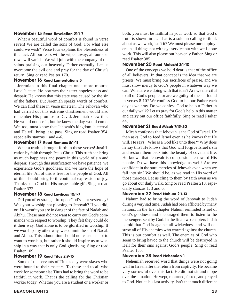#### November 15 Read Revelation 21:1-7

What a beautiful word of comfort is found in verse seven! We are called the sons of God! For what else could we wish? Verse four explains the blessedness of this fact. All our tears will be wiped away; all our sorrows will vanish. We will join with the company of the saints praising our heavenly Father eternally. Let us overcome the evil one and pray for the day of Christ's return. Sing or read Psalter 170.

#### November 16 Read Lamentations 5

Jeremiah in this final chapter once more mourns Israel's state. He portrays their utter hopelessness and despair. He knows that this state was caused by the sin of the fathers. But Jeremiah speaks words of comfort. We can find these in verse nineteen. The Jehovah who had carried out this extreme chastisement would also remember His promise to David. Jeremiah knew this. He would not see it, but he knew the day would come. We, too, must know that Jehovah's kingdom is eternal and He will bring it to pass. Sing or read Psalter 354, especially stanzas 1 and 4-6.

#### November 17 Read Romans 5:1-11

What a truth is brought forth in these verses! Justification by faith through Jesus Christ. This truth can bring us much happiness and peace in this world of sin and despair. Through this justification we have patience, we experience God's goodness, and we have the hope of eternal life. All of this is free for the people of God. All of this should bring forth continual expression of joy. Thanks be to God for His unspeakable gift. Sing or read Psalter 372.

#### November 18 Read Leviticus 10:1-7

Did you offer strange fire upon God's altar yesterday? Was your worship not pleasing to Jehovah? If you did, or if it wasn't you are in danger of the fate of Nadab and Abihu. These men did not want to carry out God's commands with respect to worship. They felt they could do it their way. God alone is to be glorified in worship. If we worship any other way, we commit the sin of Nadab and Abihu. This admonition should not cause us not to want to worship, but rather it should inspire us to worship in a way that is only God-glorifying. Sing or read Psalter 109.

#### November 19 Read Titus 2:9-15

Some of the servants of Titus's day were slaves who were bound to their masters. To these and to all who work for someone else Titus had to bring the word to be faithful in work. That is the calling for the Christian worker today. Whether you are a student or a worker or

both, you must be faithful in your work so that God's truth is shown in us. That is a solemn calling to think about as we work, isn't it? We must please our employers in all things not with eye service but with well-done work. This will also please our heavenly Father. Sing or read Psalter 385.

#### November 20 Read Malachi 2:1-10

One of the concepts we hold dear is that of the office of all believers. In that concept is the idea that we are priests. We must bring our sacrifices of praise, and we must show mercy to God's people in whatever way we can. What are we doing with that idea? Are we merciful to all of God's people, or are we guilty of the sin found in verses 8-10? We confess God to be our Father each day as we pray. Do we confess God to be our Father in our daily walk? Let us pray for God's help in this matter and carry out our office faithfully. Sing or read Psalter 44.

#### November 21 Read Micah 7:15-20

Micah confesses that Jehovah is the God of Israel. He then asks God to feed Israel even as he knows that He will. He says, 'Who is a God like unto thee?" Why does he say this? He knows that God will forgive Israel's sin and restore them back into the beauty of covenant life. He knows that Jehovah is compassionate toward His people. Do we have this knowledge as well? Are we confident in the sure mercies of Jehovah even when we fall into sin? We should be, as we read in His word of those mercies. Let us cling to them by faith even as we go about our daily walk. Sing or read Psalter 218, especially stanzas 1, 3 and 6.

#### November 22 Read Nahum 2:1-13

Nahum had to bring the word of Jehovah to Judah during a very sad time. Judah had been afflicted by many nations. In the first chapter Nahum reminded Israel of God's goodness and encouraged them to listen to the messengers sent by God. In the final two chapters Judah is told that God is against all wickedness and will destroy all of His enemies who warred against the church. This is our comfort as well. The enemies of God who seem to bring havoc to the church will be destroyed in Hell for their sins against God's people. Sing or read Psalter 155.

#### November 23 Read Nehemiah 1

Nehemiah received word that things were not going well in Israel after the return from captivity. He became very sorrowful over this fact. He did not sit and mope over the situation. He wept, mourned, fasted, and prayed to God. Notice his last activity. Isn't that much different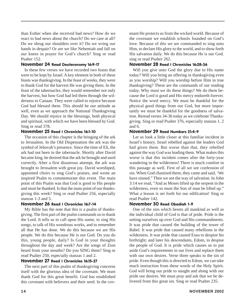than Esther when she received bad news? How do we react to bad news about the church? Do we care at all? Do we shrug our shoulders over it? Do we wring our hands in despair? Or are we like Nehemiah and fall on our knees in prayer for God's church? Sing or read Psalter 152.

#### November 24 Read Deuteronomy 16:9-17

In these few verses we have recorded two feasts that were to be kept by Israel. A key element in both of these feasts was thanksgiving. In the feast of weeks, they were to thank God for the harvest He was giving them. In the feast of the tabernacles, they would remember not only the harvest, but how God had led them through the wilderness to Canaan. They were called to rejoice because God had blessed them. This should be our attitude as well, even as we approach the National Thanksgiving Day. We should rejoice in the blessings, both physical and spiritual, with which we have been blessed by God. Sing or read 378.

#### November 25 Read I Chronicles 16:1-10

The occasion of this chapter is the bringing of the ark to Jerusalem. In the Old Dispensation the ark was the symbol of Jehovah's presence. Since the time of Eli, the ark had not been in the tabernacle. Shortly after David became king, he desired that the ark be brought and used correctly. After a first disastrous attempt, the ark was brought to Jerusalem with great joy. David worshiped, appointed choirs to sing God's praises, and wrote an inspired Psalm to commemorate this event. The main point of this Psalm was that God is good to His people and must be thanked. Is that the main point of our thanksgiving this week? Sing or read Psalter 256, especially stanzas 1-3 and 5.

#### November 26 Read I Chronicles 16:7-14

My Bible has the note that this is a psalm of thanksgiving. The first part of the psalm commands us to thank the Lord. It tells us to call upon His name, to sing His songs, to talk of His wondrous works, and to remember all that He has done. We do this because we are His people. We do this because He is our God. Do you do this, young people, daily? Is God in your thoughts throughout the day and week? Are the songs of Zion heard from your mouths? Do you SING them? Sing or read Psalter 250, especially stanzas 1 and 2.

#### November 27 Read I Chronicles 16:15-27

The next part of this psalm of thanksgiving concerns itself with the glorious idea of the covenant. We must thank God for this great benefit. God has established this covenant with believers and their seed. In the covenant He protects us from the wicked world. Because of the covenant we establish schools founded on God's love. Because of this we are commanded to sing unto Him, to declare His glory to the world, and to show forth His salvation daily. We do this because He is our God. sing or read Psalter 262.

#### November 28 Read I Chronicles 16:28-36

Will you give unto God the glory due to His name today? Will you bring an offering in thanksgiving even as you worship? Will you worship before Him in true thanksgiving? These are the commands of our reading today. Why must we do these things? We do them because the Lord is good and His mercy endureth forever. Notice the word mercy. We must be thankful for the physical good things from our God, but more importantly we must be thankful for the goodness of salvation. Reread verses 34-36 today as we celebrate Thanksgiving. Sing or read Psalter 376, especially stanzas 1, 2 and 6.

#### November 29 Read Numbers 21:4-9

Let us look a little closer at this familiar incident in Israel's history. Israel rebelled against the leaders God had given them. But worse than that, they rebelled against the way God was leading them. What makes this worse is that this incident comes after the forty-year wandering in the wilderness! There is much comfort in this passage as well. First of all we see confession of sin. When God chastised them, they came and said, 'We have sinned." Then we see the way of salvation. In John 3:14 we read, "And as Moses lifted up the serpent in the wilderness, even so must the Son of man be lifted up." What a lesson is set forth for our edification! Sing or read Psalter 142.

#### November 30 Read Obadiah 1-9

One of the sins which besets all mankind as well as the individual child of God is that of pride. Pride is the setting ourselves up over God and His commandments. It was pride that caused the building of the tower of Babel. It was pride that caused many rebellions in the wilderness. It was pride that caused Esau to despise his birthright; and later his descendants, Edom, to despise the people of God. It is pride which causes us to put aside God's requirements in our lives and replace them with our own desires. Verse three speaks to the sin of pride. Even though this is directed to Edom, we can take much instruction from these words of the Holy Spirit. God will bring our pride to naught and along with our pride our desires. We must pray and ask that we be delivered from this great sin. Sing or read Psalter 235.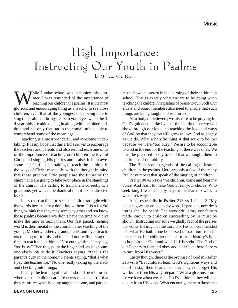## High Importance: Instructing Our Youth in Psalms

by Melissa Van Baren

While Sunday school was in session this summer, I was reminded of the importance of teaching our children the psalms. It is the most mer, I was reminded of the importance of teaching our children the psalms. It is the most glorious and encouraging thing as a teacher to see those children, even that of the youngest ones being able to sing the psalms. It brings tears to your eyes when the 3- 4 year olds are able to sing in along with the older children and not only that but in their small minds able to comprehend some of the meanings.

Teaching is a most wonderful and awesome undertaking. It is my hope that this article serves to encourage the teachers and parents and also remind each one of us of the importance of teaching our children the love of Christ and singing His glories and praise. It is an awesome and fearful undertaking to teach the children in the ways of Christ especially with the thought in mind that those precious little people are the future of the church and are going to take your place in the standings of the church. The calling to train them correctly is a great one, yet we can be thankful that it is one directed by God.

It is so hard at times to see the children struggle with the words because they don't know them. It is a fearful thing to think that they may someday grow and not know those psalms because we didn't have the time or didn't make the time to teach them. Our fast paced, rushing world is detrimental to the church in her teaching of the young. Mothers, fathers, grandparents and even teachers rushing off to this and that and not really taking the time to teach the children. "Not enough time" they say, "too busy." Then they point the finger and say it is someone else's job to do it. Teachers saying, "that is the parent's duty in the home." Parents saying, "that's what I pay the teacher for." No one really taking up the slack and checking into things.

Ideally, the learning of psalms should be reinforced wherever the children are. Teachers must see to it that they reinforce what is being taught at home, and parents

must show an interest in the learning of their children in school. This is exactly what we are to be doing when teaching the children the psalms of praise to our God! Our elders and board members also need to ensure that such things are being taught and reinforced.

As a body of believers, we also are to be praying for God's guidance in the lives of the children that we will show through our love and teaching the love and ways of God, so that they too will grow to love God as deeply as we do. What a horrific thing if that were to be lost because we were "too busy." We are to be accountable to God in the end for the teaching of these wee ones. We must be prepared to say to God that we taught them to the fullest of our ability.

The Bible speak urgently of the calling to instruct children in the psalms. Here are only a few of the many Psalter numbers that speak of the singing of children.

Psalter 90 vs 6 says "Ye children, come and hear my voice, And learn to make God's fear your choice; Who seek long life and happy days must learn to walk in wisdom's ways."

Also, especially in Psalter 213 vs 1,2 and 3 "My people, give ear, attend to my word, in parables new deep truths shall be heard; The wonderful story our fathers made known to children succeeding by us must be shown. Instructing our sons we gladly record the praises the works, the might of the Lord, For He hath commanded that what He hath done be passed in tradition from father to son. Let children thus learn from history's light to hope in our God and walk in His sight, The God of our Fathers to fear and obey and ne'er like there fathers to turn from His ways."

Lastly though, there is the promise of God in Psalter 215 vs. 6 "Let children learn God's righteous ways and on Him stay their heart, that they may not forget His works nor from His ways depart." What a glorious promise we have when we teach God's children: they will not depart from His ways. What encouragement to those that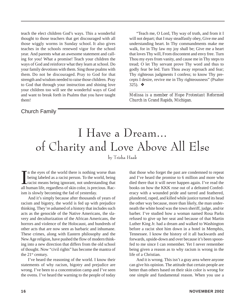teach the elect children God's ways. This a wonderful thought to those teachers that get discouraged with all those wiggly worms in Sunday school. It also gives teaches in the schools renewed vigor for the school year. And parents what an awesome statement and calling for you! What a promise! Teach your children the ways of God and reinforce what they learn at school. Do your family devotions with them. Sing those psalms with them. Do not be discouraged. Pray to God for that strength and wisdom needed to raise those children. Pray to God that through your instruction and shining love your children too will see the wonderful ways of God and want to break forth in Psalms that you have taught them!

"Teach me, O Lord, Thy way of truth, and from it I will not depart; that I may steadfastly obey, Give me and understanding heart. In Thy commandments make me walk, for in Thy law my joy shall be; Give me a heart that loves Thy will, From discontent and envy free. Turn Thou my eyes from vanity, and cause me in Thy steps to tread; O let Thy servant prove Thy word and thus to godly fear be led. Turn Thou away reproach and fear; Thy righteous judgments I confess; to know Thy precepts I desire, revive me in Thy righteousness" (Psalter 325). ❖

*\_\_\_\_\_\_\_\_\_\_\_\_\_\_\_\_\_\_\_\_\_\_\_\_\_\_\_\_\_\_\_\_\_\_\_\_\_\_\_\_\_\_\_\_\_\_\_\_\_\_ Melissa is a member of Hope Protestant Reformed Church in Grand Rapids, Michigan.*

#### Church Family

# I Have a Dream... of Charity and Love Above All Else

by Trisha Haak

In the eyes of the world there is nothing worse than<br>being labeled as a racist person. To the world, being<br>racist means being ignorant, not understanding that<br>all human life, regardless of skin color, is precious. Racn the eyes of the world there is nothing worse than being labeled as a racist person. To the world, being racist means being ignorant, not understanding that ism is slowly becoming the fad of yesterday.

And it's simply because after thousands of years of racism and bigotry, the world is fed up with prejudice thinking. They're ashamed of a history that includes such acts as the genocide of the Native Americans, the slavery and deculturization of the African Americans, the horrors and violence of the Holocaust, and hundreds of other acts that are now seen as barbaric and inhumane. These crimes, along with Eastern philosophy and the New Age religion, have pushed the flow of modern thinking into a new direction that differs from the old school of thought. Now "civil rights" has become the mantra of the 21<sup>st</sup> century.

I've heard the reasoning of the world. I know their statements of why racism, bigotry and prejudice are wrong. I've been to a concentration camp and I've seen the ovens. I've heard the warning to the people of today

that those who forget the past are condemned to repeat and I've heard the promise to 6 million and more who died there that it will never happen again. I've read the books on how the KKK rose out of a defeated Confederacy with a wounded pride and tarred and feathered, plundered, raped, and killed while justice turned its head the other way because, more than likely, the man underneath the white hood was the town sheriff, judge, and/or barber. I've studied how a woman named Rosa Parks refused to give up her seat and because of that Martin Luther King Jr. had a dream and walked to Washington before a racist shot him down in a hotel in Memphis, Tennessee. I know the history of it all backwards and forwards, upside-down and over because it's been spoonfed to me since I can remember. Yet I never remember being given a reason as to why racism is wrong in the life of a Christian.

And it is wrong. This isn't a gray area where anyone can give his opinion. The attitude that certain people are better than others based on their skin color is wrong for one simple and fundamental reason. When you use a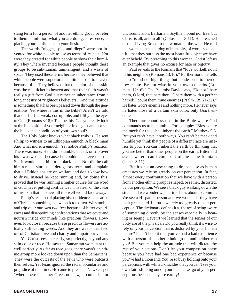slang term for a person of another ethnic group or refer to them as inferior, what you are doing, in essence, is placing your confidence in your flesh.

The words "nigger, spic, and diego" were not invented for white people to use as terms of respect. Nor were they created for white people to show their humility. They where invented because people thought these groups to be sub-human, unintelligent, and a waste of space. They used these terms because they believed that white people were superior and a little closer to heaven because of it. They believed that the color of their skin was the real ticket to heaven and that their faith wasn't really a gift from God but rather an inheritance from a long ancestry of "righteous believers." And this attitude is something that has been passed down through the generations. Yet where is this in the Bible? Aren't we told that our flesh is weak, corruptible, and filthy in the eyes of God (Romans 8:18)? Tell me this. Can you really look at the black skin of your neighbor in disgust and not see the blackened condition of your own soul?

The Holy Spirit knows what black truly is. He sent Philip to witness to an Ethiopian eunuch. A black man! And what more, a eunuch! Yet notice Philip's reaction. There was none. He didn't stumble, or fall, or trip over his own two feet because he couldn't believe that the Spirit would send him to a black man. Nor did he call him a racial slur, use a derogatory term, and complain that all Ethiopians are on welfare and don't know how to drive. Instead he kept running and, by doing this, proved that he was running a higher course for the word of God, never putting confidence in his flesh or the color of his skin that he knew all too well would fade away.

Philip's reaction of placing his confidence in the arms of Christ is something that we lack too often. We stumble and trip over our own two feet because of bitter experiences and disappointing confrontations that we covet and nourish inside our minds like precious flowers. However, look closer, because these precious flowers are actually suffocating weeds. And they are weeds that feed off of Christian love and charity and impair our vision.

Yet Christ sees so clearly, so perfectly, beyond any skin color or race. He saw the Samaritan woman at the well perfectly. As far as race goes, there wasn't an ethnic group more looked down upon than the Samaritans. They were the outcasts of the Jews who were outcasts themselves. Yet Jesus ignored the racial boundaries and prejudice of that time. He came to preach a New Gospel "where there is neither Greek nor Jew, circumcision or uncircumcision, Barbarian, Scythian, bond nor free, but Christ is all, and in all" (Colossians 3:11). He preached of this Living Bread to the woman at the well. He told this women, the underdog of humanity, of words so beautiful that they surpass the most beautiful object we have ever beheld. By preaching to this woman, Christ left us an example that gives no excuse for hate or bigotry.

Paul reveals to the Romans that "love worketh no ill in his neighbor (Romans 13:10)." Furthermore, he tells us to "mind not high things but condescend to men of low estate. Be not wise in your own conceits (Romans 12:16)." The Psalmist David says, "Do not I hate them, O lord, that hate thee…I hate them with a perfect hatred: I count them mine enemies (Psalm 139:21-22)." He hates God's enemies and nothing more. He never says he hates those of a certain skin color, only *God's* enemies.

There are countless texts in the Bible where God commands us to be humble. For example: "Blessed are the meek for they shall inherit the earth." Matthew 5:5. But you can't have it both ways. You can't be meek and humble yet think that people of a different race are inferior to you. You can't inherit the earth by thinking that you are better than other people on the earth. Bitter and sweet waters can't come out of the same fountain (James 3:11)!

But it's not an easy thing to do, because as human creatures we rely so greatly on our perception. In fact, almost every confrontation that we have with a person from another ethnic group is shaped, or rather, distorted, by our perception. We see a black guy walking down the street and we wonder what crime he is about to commit. We see a Hispanic person and we wonder if they have their green card. In truth, we rely too greatly on our perception. The dictionary defines it as the act of being aware of something directly by the senses especially in hearing or seeing. Haven't we learned that the senses of our body are of the physical? Do you really think it's wise to rely on your perception that is distorted by your human nature? I can't help it that you've had a bad experience with a person of another ethnic group and neither can you! But you can help the attitude that will dictate the rest of your actions. Don't let your compassion cease because you have had one bad experience or because you've had a thousand. You're so busy holding onto your perceptions with whited knuckles that you can't see your own faith slipping out of your hands. Let go of your perceptions because they are earthy!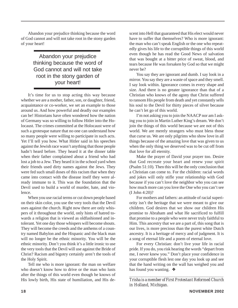Abandon your prejudice thinking because the word of God cannot and will not take root in the stony garden of your heart!

#### Abandon your prejudice thinking because the word of God cannot and will not take root in the stony garden of your heart!

It's time for us to stop acting this way because whether we are a mother, father, son, or daughter, friend, acquaintance or co-worker, we set an example to those around us. And how powerful and deadly our examples can be! Historians have often wondered how the nation of Germany was so willing to follow Hitler into the Holocaust. The crimes committed at the Holocaust were of such a grotesque nature that no one can understand how so many people were willing to participate in such acts. Yet I'll tell you how. What Hitler said in his speeches against the Jewish race wasn't anything that those people hadn't heard before. They heard it at the dinner table when their father complained about a friend who had lost a job to a Jew. They heard it in the school yard when their friends used dirty names against the Jews. They were fed such small doses of this racism that when they came into contact with the disease itself they were already immune to it. This was the foundation that the Devil used to build a world of murder, hate, and violence.

When you use racial terms or cut down people based on their skin color, you use the very tools that the Devil uses against the church. Right now there are only whispers of it throughout the world, only hints of hatred towards a religion that is viewed as oldfashioned and intolerant. Yet one day those whispers will become shouts. They will become the creeds and the anthems of a country named Babylon and the Hispanic and the black man will no longer be the ethnic minority. You will be the ethnic minority. Don't you think it's a little ironic to use the very tools that the Devil will use against the Bride of Christ? Racism and bigotry certainly aren't the tools of the Holy Spirit.

Tell me who is more ignorant: the man on welfare who doesn't know how to drive or the man who lusts after the things of this world even though he knows of His lowly birth, His state of humiliation, and His descent into Hell that guaranteed that His elect would never have to suffer that themselves? Who is more ignorant: the man who can't speak English or the one who repeatedly gives his life to the corruptible things of this world even though he has read the Good News of salvation that was bought at a bitter price of sweat, blood, and tears because He was forsaken by God so that we might never be?

You say they are ignorant and dumb. I say look in a mirror. You say they are a waste of space and they smell. I say look within. Ignorance comes in every shape and size. And there is no greater ignorance than that of a Christian who knows of the agony that Christ suffered to ransom His people from death and yet constantly sells his soul to the Devil for thirty pieces of silver because he can't let go of this world.

I'm not asking you to join the NAACP nor am I asking you to join in Martin Luther King's dream. We don't join the things of this world because we are not of this world. We are merely strangers who must bless those that curse us. We are only pilgrims who show love in all things because of the amazing love that was given to us when the only thing we deserved was to be cut off from that love for all eternity.

Make the prayer of David your prayer too. Desire that God recreate your heart and renew your spirit (Psalm 51:10)*.* Then this will be the only conclusion that a Christian can come to. For the children: racial words and jokes will only stifle your relationship with God because if you can't love the neighbor who you can see how much more can you love the One who you can't see (I John 4:20)?

For mothers and fathers: an attitude of racial superiority isn't the heritage that we were meant to give our children. God desires that we show our children His promise to Abraham and what He sacrificed to fulfill that promise to a people who were never truly faithful to Him. This ancestry that we are a part of, this song that is our lives, is more precious than the purest white Dutch ancestry. It is a heritage of mercy and of judgment. It is a song of eternal life and a poem of eternal love.

For every Christian: don't live your life in racial pride. If you do, you risk hearing the words "depart from me, I never knew you." Don't place your confidence in your corruptible flesh lest one day you look up and see that the hand writing on the wall has weighed you and has found you wanting. ❖

*\_\_\_\_\_\_\_\_\_\_\_\_\_\_\_\_\_\_\_\_\_\_\_\_\_\_\_\_\_\_\_\_\_\_\_\_\_\_\_\_\_\_\_\_\_\_\_\_\_\_\_ Trisha is a member of First Protestant Reformed Church in Holland, Michigan.*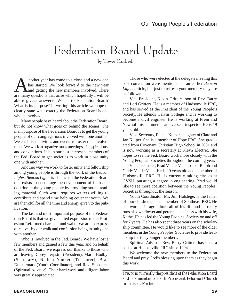### Federation Board Update

by Trevor Kalsbeek

nother year has come to a close and a new one<br>has started. We look forward to the new year<br>and getting the new members involved. There has started. We look forward to the new year **L**and getting the new members involved. There are many questions that arise which hopefully I will be able to give an answer to. What is the Federation Board? What is its purpose? In writing this article we hope to clearly state what exactly the Federation Board is and who is involved.

Many people have heard about the Federation Board, but do not know what goes on behind the scenes. The main purpose of the Federation Board is to get the young people of our congregations involved with one another. We establish activities and events to foster this involvement. We work to organize mass meetings, singspirations, and conventions. It is in our best interest as members of the Fed. Board to get societies to work in close unity one with another.

Another way we work to foster unity and fellowship among young people is through the work of the *Beacon Lights*. *Beacon Lights* is a branch of the Federation Board that exists to encourage the development of faith and doctrine in the young people by providing sound reading material. Such work requires writers willing to contribute and spend time helping covenant youth. We are thankful for all the time and energy given to the publication.

The last and most important purpose of the Federation Board is that we give united expression to our Protestant Reformed character and walk. We are to express ourselves by our walk and confession being in unity one with another

Who is involved in the Fed. Board? We have lost a few members and gained a few this year, and on behalf of the Fed. Board, we express our thanks to those who are leaving: Corey Terpstra (President), Maria Bodbyl (Secretary), Nathan Yonker (Treasurer), Brad Duistermars (Youth Coordinator), and Rev. Slopsema (Spiritual Advisor). Their hard work and diligent labor was greatly appreciated.

Those who were elected at the delegate meeting this past convention were mentioned in an earlier *Beacon Lights* article, but just to refresh your memory they are as follows:

Vice-President, Kevin Gritters, son of Rev. Barry and Lori Gritters. He is a member of Hudsonville PRC, and has served as the President of the Young People's Society. He attends Calvin College and is working to become a civil engineer. He is working at Prein and Newhof this summer as an overseer inspector. He is 19 years old.

Vice-Secretary, Rachel Kuiper, daughter of Clare and Jan Kuiper. She is a member of Hope PRC. She graduated from Covenant Christian High School in 2001 and is now working as a secretary at Kleyn Electric. She hopes to see the Fed. Board work more closely with the Young Peoples' Societies throughout the coming year.

Vice-Treasurer, Brad VanderVeen, son of Ralph and Cindy VanderVeen. He is 20 years old and a member of Hudsonville PRC. He is currently taking classes at GVSU, pursuing a degree in engineering. Brad would like to see more coalition between the Young Peoples' Societies throughout the season.

Youth Coordinator, Mr. Jim Holstege, is the father of four children and is a member of Southeast PRC. He has worked in agriculture all of his life and currently runs his own flower and perennial business with his wife, Kathy. He has led the Young Peoples' Society on and off for 7 years. He has also spent three years on the scholarship committee. He would like to see more of the older members in the Young Peoples' Societies to provide leadership for the younger members.

Spiritual Advisor, Rev. Barry Gritters has been a pastor at Hudsonville PRC since 1994.

We welcome the new members to the Federation Board and pray God's blessing upon them as they begin this work.

*Trevor is currently the president of the Federation Board and is a member of Faith Protestant Feformed Church in Jenison, Michigan.*

*\_\_\_\_\_\_\_\_\_\_\_\_\_\_\_\_\_\_\_\_\_\_\_\_\_\_\_\_\_\_\_\_\_\_\_\_\_\_\_\_\_\_\_\_\_\_\_\_\_\_\_*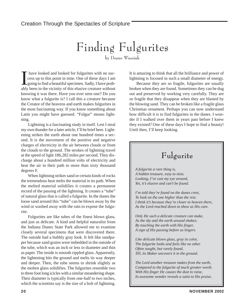# Finding Fulgurites

by Deane Wassink

I have looked and looked for fulgurites with no success up to this point in time. One of these days I am going to find a beautiful specimen. Sadly, I have probably been in the vicinity of this elusive creature without have looked and looked for fulgurites with no success up to this point in time. One of these days I am going to find a beautiful specimen. Sadly, I have probknowing it was there. Have you ever seen one? Do you know what a fulgurite is? I call this a creature because the Creator of the heavens and earth makes fulgurites in the most fascinating way. If you know something about Latin you might have guessed. "Fulgur" means lightning.

Lightning is a fascinating study in itself. Lest I steal my own thunder for a later article, I'll be brief here. Lightening strikes the earth about one hundred times a second. It is the movement of the positive and negative charges of electricity in the air between clouds or from the clouds to the ground. The strokes of lightning travel at the speed of light 186,282 miles per second. They discharge about a hundred million volts of electricity and heat the air in their path to more than sixty thousand degrees F.

When lightning strikes sand or certain kinds of rocks the tremendous heat melts the material in its path. When the melted material solidifies it creates a permanent record of the passing of the lightning. It creates a "tube" of natural glass that is called a fulgurite. In the dunes the loose sand around this "tube" can be blown away by the wind or washed away with the rain to expose the fulgurite.

Fulgurites are like tubes of the finest blown glass, and just as delicate. A kind and helpful naturalist from the Indiana Dunes State Park allowed me to examine closely several specimens that were discovered there. The outside had a bubbly gray look. It felt like sandpaper because sand grains were imbedded in the outside of the tube, which was an inch or less in diameter and thin as paper. The inside is smooth rippled glass. Apparently, the lightening hits the ground and melts its way deeper and deeper. Then, the tube seems to shrink slightly as the molten glass solidifies. The fulgurites resemble two to three foot long icicles with a similar meandering shape. Their diameter is typically from one-half to two inches, which the scientists say is the size of a bolt of lightning.

It is amazing to think that all the brilliance and power of lightning is focused in such a small diameter of energy.

Because they are so fragile, fulgurites are usually broken when they are found. Sometimes they can be dug out and preserved by working very carefully. They are so fragile that they disappear when they are blasted by the blowing sand. They can be broken like a fragile glass Christmas ornament. Perhaps you can now understand how difficult it is to find fulgurites in the dunes. I wonder if I walked over them in years past before I knew they existed? One of these days I hope to find a beauty! Until then, I'll keep looking.

### Fulgurite

*A fulgurite a rare thing is, A hidden treasure, easy to miss. Looking, I've cast my eye around, Yet, it's elusive and can't be found.*

*I'm told they're found on the dunes crest, To look on the one higher than the rest. I think it's because they're closer to heaven there, As the Lord reached down to show us His care.*

*Only He such a delicate creature can make, As the sky and the earth around shakes; By touching the earth with His finger, A sign of His passing before us lingers.*

*Like delicate blown glass, gray in color, The fulgurite looks and feels like no other. Often sought, but rarely found, Till, its Maker uncovers it in the ground.*

*The Lord another treasure makes from the earth, Compared to the fulgurite of much greater worth. With His finger He causes the dust to raise, In awesome wonder reveals a saint to His praise.*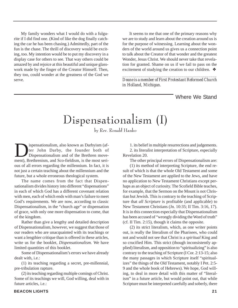My family wonders what I would do with a fulgurite if I did find one. (Kind of like the dog finally catching the car he has been chasing.) Admittedly, part of the fun is the chase. The thrill of discovery would be exciting, too. My intention would be to put my discovery in a display case for others to see. That way others could be amazed by and rejoice at this beautiful and unique glasswork made by the finger of the Creator Himself. Then, they too, could wonder at the greatness of the God we serve.

It seems to me that one of the primary reasons why we are to study and learn about the creation around us is for the purpose of witnessing. Learning about the wonders of the world around us gives us a connection point to talk about the Creator of that wonder and the greatest Wonder, Jesus Christ. We should never take that revelation for granted. Shame on us if we fail to pass on the excitement of studying the creation to our children. ❖

*\_\_\_\_\_\_\_\_\_\_\_\_\_\_\_\_\_\_\_\_\_\_\_\_\_\_\_\_\_\_\_\_\_\_\_\_\_\_\_\_\_\_\_\_\_\_ Deane is a member of First Protestant Reformed Church in Holland, Michigan.*

Where We Stand

### Dispensationalism (I)

by Rev. Ronald Hanko

Supensationalism, also known as Darbyism (af-<br>ter John Darby, the founder both of<br>Dispensationalism and of the Brethren move-<br>ment) Brethrenism and Sco-fieldism is the most seriter John Darby, the founder both of Dispensationalism and of the Brethren movement), Brethrenism, and Sco-fieldism, is the most serious of all errors regarding the millennium. In fact, it is not just a certain teaching about the millennium and the future, but a whole erroneous theological system.

The name comes from the fact that Dispensationalism divides history into different "dispensations" in each of which God has a different covenant relation with men, each of which ends with man's failure to meet God's requirements. We are now, according to classic Dispensationalism, in the "church age" or dispensation of grace, with only one more dispensation to come, that of the kingdom.

Rather than give a lengthy and detailed description of Dispensationalism, however, we suggest that those of our readers who are unacquainted with its teachings or want a lengthier critique than is offered in these articles, write us for the booklet, *Dispensationalism.* We have limited quantities of this booklet.

Some of Dispensationalism's errors we have already dealt with, i.e.:

(1) its teaching regarding a secret, pre-millennial, pre-tribulation rapture.

(2) its teaching regarding multiple comings of Christ. Some of its teachings we will, God willing, deal with in future articles, i.e.:

1. its belief in multiple resurrections and judgements. 2. its literalist interpretation of Scripture, especially Revelation 20.

The other principal errors of Dispensationalism are:

(1) its method of interpreting Scripture, the end result of which is that the whole Old Testament and some of the New Testament are applied to the Jews, and have no application to New Testament Christians except perhaps as an object of curiosity. The Scofield Bible teaches, for example, that the Sermon on the Mount is not Christian but Jewish. This is contrary to the teaching of Scripture that *all Scripture* is profitable (and applicable) to New Testament Christians (Jn. 10:35; II Tim. 3:16, 17). It is in this connection especially that Dispensationalism has been accused of "wrongly dividing the Word of truth" (cf. II Tim. 2:15), though it claims the opposite.

(2) its strict literalism, which, as one writer points out, is really the literalism of the Pharisees, who could not and would not see that Christ is a *spiritual* King and so crucified Him. This strict (though inconsistently applied) literalism, and opposition to "spiritualizing" is also contrary to the teaching of Scripture (I Cor. 2:13-15; also the many passages in which Scripture itself "spiritualizes" the things of the Old Testament, notably I Pet. 2:5- 9 and the whole book of Hebrews). We hope, God willing, to deal in more detail with this matter of "literalism" in a future article, but would point out, that while Scripture must be interpreted carefully and soberly, there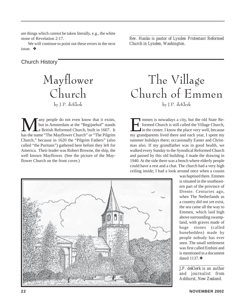are things which *cannot* be taken literally, e.g., the white stone of Revelation 2:17.

We will continue to point out these errors in the next issue. ❖

Church History

Mayflower Church by J.P. deKlerk

Many people do not even know that it exists,<br>but in Amsterdam at the "Begijnehof" stands<br>has the name "The Mayflower Church" or "The Pilgrim" but in Amsterdam at the "Begijnehof" stands a British Reformed Church, built in 1607. It has the name "The Mayflower Church" or "The Pilgrim Church," because in 1620 the "Pilgrim Fathers" (also called "the Puritans") gathered here before they left for America. Their leader was Robert Browne, the ship, the well known Mayflower. (See the picture of the Mayflower Church on the front cover.)



*\_\_\_\_\_\_\_\_\_\_\_\_\_\_\_\_\_\_\_\_\_\_\_\_\_\_\_\_\_\_\_\_\_\_\_\_\_\_\_\_\_\_\_\_\_\_\_\_\_*

### The Village Church of Emmen by J.P. deKlerk

I mmen is nowadays a city, but the old State Reformed Church is still called the Village Church, In the center. I know the place very well, because my grandparents lived there and each year, I spent my summer holidays there; occasionally Easter and Christmas also. If my grandfather was in good health, we walked every Sunday to the Synodical Reformed Church and passed by this old building. I made the drawing in 1940. At the side there was a bench where elderly people could have a rest and a chat. The church had a very high ceiling inside; I had a look around once when a cousin



was baptised there. Emmen is situated in the southeastern part of the province of Drente. Centuries ago, when The Netherlands as a country did not yet exist, the sea came all the way to Emmen, which laid high above surrounding swampland, with graves made of huge stones (called hunebedden) made by people nobody has ever seen. The small settlement was first called Embini and is mentioned in a document dated 1137.❖

*\_\_\_\_\_\_\_\_\_\_\_\_\_\_\_\_\_\_\_\_\_\_\_\_\_\_\_\_\_\_\_\_\_\_\_\_\_\_\_\_\_\_\_\_\_\_\_\_\_\_ J.P. deKlerk is an author and journalist from Ashhurst, New Zealand.*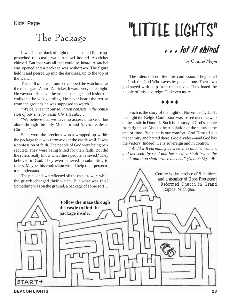### The Package

It was in the black of night that a cloaked figure approached the castle wall. An owl hooted. A cricket chirped. But that was all that could be heard. A satchel was opened and a package was withdrawn. The figure held it and peered up into the darkness, up to the top of the wall…

The chill of late autumn enveloped the watchman at the castle gate. A bird. A cricket. It was a very quiet night. He yawned. He never heard the package land inside the walls that he was guarding. He never heard the retreat from the grounds he was supposed to watch…

*"We believe that our salvation consists in the remission of our sins for Jesus Christ's sake*…*"*

"We believe that we have no access unto God, but alone through the only Mediator and Advocate, Jesus Christ<sup>"</sup>

Such were the precious words wrapped up within the package that was thrown over the castle wall. It was a confession of faith. The people of God were being persecuted. They were being killed for their faith. But did the rulers really know what these people believed? They believed in God. They even believed in submitting to rulers. Maybe this confession would help their persecutors understand…

the guards changed their watch. But what was this? Something was on the ground, a package of some sort…

# $\mathbb{R}^{1}$   $\mathbb{R}^{1}$   $\mathbb{R}^{1}$   $\mathbb{R}^{1}$   $\mathbb{R}^{1}$   $\mathbb{R}^{1}$   $\mathbb{R}^{1}$   $\mathbb{R}^{1}$   $\mathbb{R}^{1}$   $\mathbb{R}^{1}$   $\mathbb{R}^{1}$   $\mathbb{R}^{1}$   $\mathbb{R}^{1}$   $\mathbb{R}^{1}$   $\mathbb{R}^{1}$   $\mathbb{R}^{1}$   $\mathbb{R}^{1}$   $\mathbb{R}^{1}$   $\mathbb{$

. . . let it shine!

by Connie Meyer

The rulers did not like this confession. They hated its God, the God Who saves by grace alone. Their own god saved with help from themselves. They hated the people of this sovereign God even more.

❋ ❋ ❋ ❋

Such is the story of the night of November 1, 1561, the night the Belgic Confession was tossed over the wall of the castle in Doornik. Such is the story of God's people from righteous Abel to the tribulation of the saints at the end of time. But such is our comfort: God Himself put that enmity and hatred there. God divides—and God has the victory. Indeed, He is sovereign and in control.

*"And I will put enmity between thee and the woman, and between thy seed and her seed; it shall bruise thy head, and thou shalt bruise his heel" (Gen. 3:15)*. ❖



**BEACON LIGHTS 23**